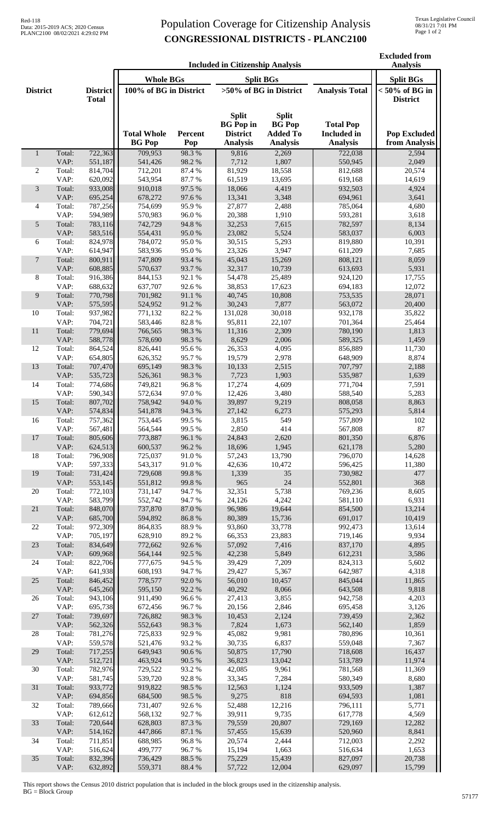## Population Coverage for Citizenship Analysis **CONGRESSIONAL DISTRICTS - PLANC2100**

|                 | <b>Included in Citizenship Analysis</b> |                    |                                      |                           |                                                                        |                                                                     |                                                           |                                      |
|-----------------|-----------------------------------------|--------------------|--------------------------------------|---------------------------|------------------------------------------------------------------------|---------------------------------------------------------------------|-----------------------------------------------------------|--------------------------------------|
| <b>District</b> |                                         | <b>District</b>    | <b>Whole BGs</b><br><b>Split BGs</b> |                           |                                                                        |                                                                     |                                                           | <b>Split BGs</b>                     |
|                 |                                         |                    | 100% of BG in District               |                           | >50% of BG in District                                                 |                                                                     | <b>Analysis Total</b>                                     | $< 50\%$ of BG in                    |
|                 |                                         | <b>Total</b>       |                                      |                           |                                                                        |                                                                     |                                                           | <b>District</b>                      |
|                 |                                         |                    | <b>Total Whole</b><br><b>BG</b> Pop  | Percent<br>Pop            | <b>Split</b><br><b>BG</b> Pop in<br><b>District</b><br><b>Analysis</b> | <b>Split</b><br><b>BG</b> Pop<br><b>Added To</b><br><b>Analysis</b> | <b>Total Pop</b><br><b>Included</b> in<br><b>Analysis</b> | <b>Pop Excluded</b><br>from Analysis |
| $\mathbf{1}$    | Total:<br>VAP:                          | 722,363<br>551,187 | 709,953<br>541,426                   | 98.3%<br>98.2%            | 9,816<br>7,712                                                         | 2,269<br>1,807                                                      | 722,038<br>550,945                                        | 2,594<br>2,049                       |
| 2               | Total:                                  | 814,704            | 712,201                              | 87.4 %                    | 81,929                                                                 | 18,558                                                              | 812,688                                                   | 20,574                               |
|                 | VAP:                                    | 620,092            | 543,954                              | 87.7%                     | 61,519                                                                 | 13,695                                                              | 619,168                                                   | 14,619                               |
| 3               | Total:                                  | 933,008            | 910,018                              | 97.5 %                    | 18,066                                                                 | 4,419                                                               | 932,503                                                   | 4,924                                |
| 4               | VAP:<br>Total:                          | 695,254<br>787,256 | 678,272<br>754,699                   | 97.6%<br>95.9%            | 13,341<br>27,877                                                       | 3,348<br>2,488                                                      | 694,961<br>785,064                                        | 3,641<br>4,680                       |
|                 | VAP:                                    | 594,989            | 570,983                              | 96.0%                     | 20,388                                                                 | 1,910                                                               | 593,281                                                   | 3,618                                |
| 5               | Total:                                  | 783,116            | 742,729                              | 94.8%                     | 32,253                                                                 | 7,615                                                               | 782,597                                                   | 8,134                                |
|                 | VAP:                                    | 583,516            | 554,431                              | 95.0%                     | 23,082                                                                 | 5,524                                                               | 583,037                                                   | 6,003                                |
| 6               | Total:<br>VAP:                          | 824,978<br>614,947 | 784,072<br>583,936                   | 95.0%<br>95.0%            | 30,515<br>23,326                                                       | 5,293<br>3,947                                                      | 819,880<br>611,209                                        | 10,391<br>7,685                      |
| $\tau$          | Total:                                  | 800,911            | 747,809                              | 93.4%                     | 45,043                                                                 | 15,269                                                              | 808,121                                                   | 8,059                                |
|                 | VAP:                                    | 608,885            | 570,637                              | 93.7%                     | 32,317                                                                 | 10,739                                                              | 613,693                                                   | 5,931                                |
| 8               | Total:                                  | 916,386            | 844,153                              | 92.1 %                    | 54,478                                                                 | 25,489                                                              | 924,120                                                   | 17,755                               |
|                 | VAP:                                    | 688,632            | 637,707                              | 92.6%                     | 38,853                                                                 | 17,623                                                              | 694,183                                                   | 12,072                               |
| 9               | Total:<br>VAP:                          | 770,798<br>575,595 | 701,982<br>524,952                   | 91.1%<br>91.2%            | 40,745<br>30,243                                                       | 10,808<br>7,877                                                     | 753,535<br>563,072                                        | 28,071<br>20,400                     |
| 10              | Total:                                  | 937,982            | 771,132                              | 82.2%                     | 131,028                                                                | 30,018                                                              | 932,178                                                   | 35,822                               |
|                 | VAP:                                    | 704,721            | 583,446                              | 82.8%                     | 95,811                                                                 | 22,107                                                              | 701,364                                                   | 25,464                               |
| 11              | Total:                                  | 779,694            | 766,565                              | 98.3%                     | 11,316                                                                 | 2,309                                                               | 780,190                                                   | 1,813                                |
| 12              | VAP:<br>Total:                          | 588,778<br>864,524 | 578,690<br>826,441                   | 98.3%<br>95.6%            | 8,629<br>26,353                                                        | 2,006<br>4,095                                                      | 589,325<br>856,889                                        | 1,459<br>11,730                      |
|                 | VAP:                                    | 654,805            | 626,352                              | 95.7%                     | 19,579                                                                 | 2,978                                                               | 648,909                                                   | 8,874                                |
| 13              | Total:                                  | 707,470            | 695,149                              | 98.3%                     | 10,133                                                                 | 2,515                                                               | 707,797                                                   | 2,188                                |
|                 | VAP:                                    | 535,723            | 526,361                              | 98.3%                     | 7,723                                                                  | 1,903                                                               | 535,987                                                   | 1,639                                |
| 14              | Total:<br>VAP:                          | 774,686<br>590,343 | 749,821<br>572,634                   | 96.8%<br>97.0%            | 17,274<br>12,426                                                       | 4,609<br>3,480                                                      | 771,704<br>588,540                                        | 7,591<br>5,283                       |
| 15              | Total:                                  | 807,702            | 758,942                              | 94.0%                     | 39,897                                                                 | 9,219                                                               | 808,058                                                   | 8,863                                |
|                 | VAP:                                    | 574,834            | 541,878                              | 94.3 %                    | 27,142                                                                 | 6,273                                                               | 575,293                                                   | 5,814                                |
| 16              | Total:                                  | 757,362            | 753,445                              | 99.5 %                    | 3,815                                                                  | 549                                                                 | 757,809                                                   | 102                                  |
| 17              | VAP:<br>Total:                          | 567,481<br>805,606 | 564,544<br>773,887                   | 99.5%<br>96.1 %           | 2,850<br>24,843                                                        | 414<br>2,620                                                        | 567,808<br>801,350                                        | 87<br>6,876                          |
|                 | VAP:                                    | 624,513            | 600,537                              | 96.2%                     | 18,696                                                                 | 1,945                                                               | 621,178                                                   | 5,280                                |
| 18              | Total:                                  | 796,908            | 725,037                              | 91.0%                     | 57,243                                                                 | 13,790                                                              | 796,070                                                   | 14,628                               |
|                 | VAP:                                    | 597,333            | 543,317                              | 91.0%                     | 42,636                                                                 | 10,472                                                              | 596,425                                                   | 11,380                               |
| 19              | Total:<br>VAP:                          | 731,424<br>553,145 | 729,608<br>551,812                   | 99.8%<br>99.8%            | 1,339<br>965                                                           | 35<br>24                                                            | 730,982<br>552,801                                        | 477<br>368                           |
| 20              | Total:                                  | 772,103            | 731,147                              | 94.7%                     | 32,351                                                                 | 5,738                                                               | 769,236                                                   | 8,605                                |
|                 | VAP:                                    | 583,799            | 552,742                              | 94.7%                     | 24,126                                                                 | 4,242                                                               | 581,110                                                   | 6,931                                |
| 21              | Total:                                  | 848,070            | 737,870                              | 87.0%                     | 96,986                                                                 | 19,644                                                              | 854,500                                                   | 13,214                               |
| $22\,$          | VAP:<br>Total:                          | 685,700<br>972,309 | 594,892<br>864,835                   | 86.8%<br>88.9%            | 80,389<br>93,860                                                       | 15,736<br>33,778                                                    | 691,017<br>992,473                                        | 10,419<br>13,614                     |
|                 | VAP:                                    | 705,197            | 628,910                              | 89.2%                     | 66,353                                                                 | 23,883                                                              | 719,146                                                   | 9,934                                |
| 23              | Total:                                  | 834,649            | 772,662                              | 92.6%                     | 57,092                                                                 | 7,416                                                               | 837,170                                                   | 4,895                                |
| 24              | VAP:<br>Total:                          | 609,968<br>822,706 | 564,144<br>777,675                   | 92.5 %<br>94.5 %          | 42,238<br>39,429                                                       | 5,849<br>7,209                                                      | 612,231<br>824,313                                        | 3,586<br>5,602                       |
|                 | VAP:                                    | 641,938            | 608,193                              | 94.7%                     | 29,427                                                                 | 5,367                                                               | 642,987                                                   | 4,318                                |
| 25              | Total:                                  | 846,452            | 778,577                              | 92.0%                     | 56,010                                                                 | 10,457                                                              | 845,044                                                   | 11,865                               |
|                 | VAP:                                    | 645,260            | 595,150                              | 92.2%                     | 40,292                                                                 | 8,066                                                               | 643,508                                                   | 9,818                                |
| 26              | Total:<br>VAP:                          | 943,106<br>695,738 | 911,490<br>672,456                   | 96.6%<br>96.7%            | 27,413<br>20,156                                                       | 3,855<br>2,846                                                      | 942,758<br>695,458                                        | 4,203<br>3,126                       |
| 27              | Total:                                  | 739,697            | 726,882                              | 98.3 %                    | 10,453                                                                 | 2,124                                                               | 739,459                                                   | 2,362                                |
|                 | VAP:                                    | 562,326            | 552,643                              | 98.3%                     | 7,824                                                                  | 1,673                                                               | 562,140                                                   | 1,859                                |
| 28              | Total:                                  | 781,276            | 725,833                              | 92.9%                     | 45,082                                                                 | 9,981                                                               | 780,896                                                   | 10,361                               |
| 29              | VAP:<br>Total:                          | 559,578<br>717,255 | 521,476<br>649,943                   | 93.2%<br>$90.6\;\%$       | 30,735<br>50,875                                                       | 6,837<br>17,790                                                     | 559,048<br>718,608                                        | 7,367<br>16,437                      |
|                 | VAP:                                    | 512,721            | 463,924                              | 90.5 %                    | 36,823                                                                 | 13,042                                                              | 513,789                                                   | 11,974                               |
| 30              | Total:                                  | 782,976            | 729,522                              | 93.2%                     | 42,085                                                                 | 9,961                                                               | 781,568                                                   | 11,369                               |
|                 | VAP:                                    | 581,745            | 539,720                              | 92.8%                     | 33,345                                                                 | 7,284                                                               | 580,349                                                   | 8,680                                |
| 31              | Total:<br>VAP:                          | 933,772<br>694,856 | 919,822<br>684,500                   | 98.5 %<br>98.5 %          | 12,563<br>9,275                                                        | 1,124<br>818                                                        | 933,509<br>694,593                                        | 1,387<br>1,081                       |
| 32              | Total:                                  | 789,666            | 731,407                              | 92.6%                     | 52,488                                                                 | 12,216                                                              | 796,111                                                   | 5,771                                |
|                 | VAP:                                    | 612,612            | 568,132                              | 92.7%                     | 39,911                                                                 | 9,735                                                               | 617,778                                                   | 4,569                                |
| 33              | Total:                                  | 720,644            | 628,803                              | 87.3 %                    | 79,559                                                                 | 20,807                                                              | 729,169                                                   | 12,282                               |
| 34              | VAP:<br>Total:                          | 514,162<br>711,851 | 447,866<br>688,985                   | $87.1\text{ }\%$<br>96.8% | 57,455<br>20,574                                                       | 15,639<br>2,444                                                     | 520,960<br>712,003                                        | 8,841<br>2,292                       |
|                 | VAP:                                    | 516,624            | 499,777                              | 96.7%                     | 15,194                                                                 | 1,663                                                               | 516,634                                                   | 1,653                                |
| 35              | Total:                                  | 832,396            | 736,429                              | 88.5 %                    | 75,229                                                                 | 15,439                                                              | 827,097                                                   | 20,738                               |
|                 | VAP:                                    | 632,892            | 559,371                              | 88.4 %                    | 57,722                                                                 | 12,004                                                              | 629,097                                                   | 15,799                               |

This report shows the Census 2010 district population that is included in the block groups used in the citizenship analysis. BG = Block Group